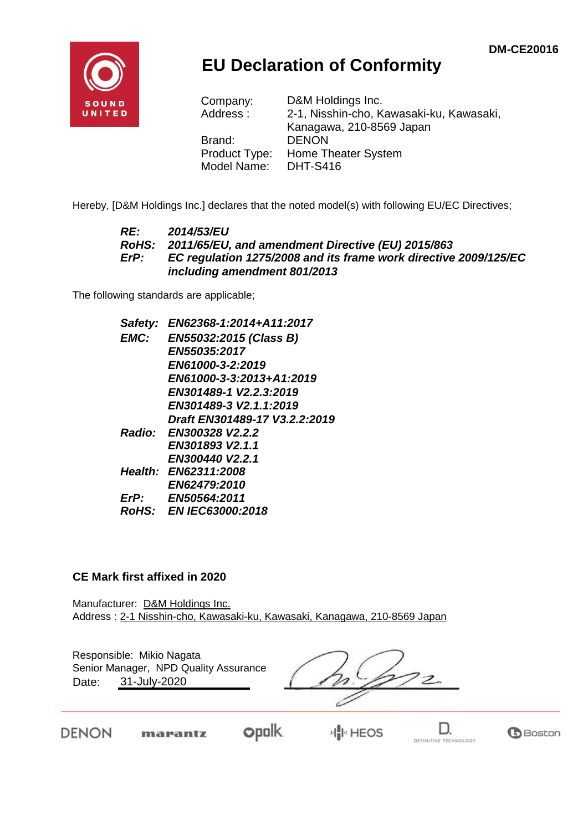**G**Boston

DEFINITIVE TECHNOLOGY



## **EU Declaration of Conformity**

| Company:      | D&M Holdings Inc.                        |
|---------------|------------------------------------------|
| Address:      | 2-1, Nisshin-cho, Kawasaki-ku, Kawasaki, |
|               | Kanagawa, 210-8569 Japan                 |
| Brand:        | <b>DENON</b>                             |
| Product Type: | Home Theater System                      |
| Model Name:   | <b>DHT-S416</b>                          |

Hereby, [D&M Holdings Inc.] declares that the noted model(s) with following EU/EC Directives;

#### *RE: 2014/53/EU RoHS: 2011/65/EU, and amendment Directive (EU) 2015/863 ErP: EC regulation 1275/2008 and its frame work directive 2009/125/EC including amendment 801/2013*

The following standards are applicable;

| Safety:     | EN62368-1:2014+A11:2017       |
|-------------|-------------------------------|
| EMC:        | EN55032:2015 (Class B)        |
|             | <b>EN55035:2017</b>           |
|             | EN61000-3-2:2019              |
|             | EN61000-3-3:2013+A1:2019      |
|             | EN301489-1 V2.2.3:2019        |
|             | EN301489-3 V2.1.1:2019        |
|             | Draft EN301489-17 V3.2.2:2019 |
|             | Radio: EN300328 V2.2.2        |
|             | EN301893 V2.1.1               |
|             | EN300440 V2.2.1               |
|             | Health: EN62311:2008          |
|             | <b>EN62479:2010</b>           |
| $E$ r $P$ : | EN50564:2011                  |
|             | RoHS: EN IEC63000:2018        |
|             |                               |

#### **CE Mark first affixed in 2020**

DENON

Manufacturer: D&M Holdings Inc. Address : 2-1 Nisshin-cho, Kawasaki-ku, Kawasaki, Kanagawa, 210-8569 Japan

| Responsible: Mikio Nagata<br>Senior Manager, NPD Quality Assurance<br>31-July-2020<br>Date: |         |             |  |
|---------------------------------------------------------------------------------------------|---------|-------------|--|
|                                                                                             | marantz | <b>HEOS</b> |  |